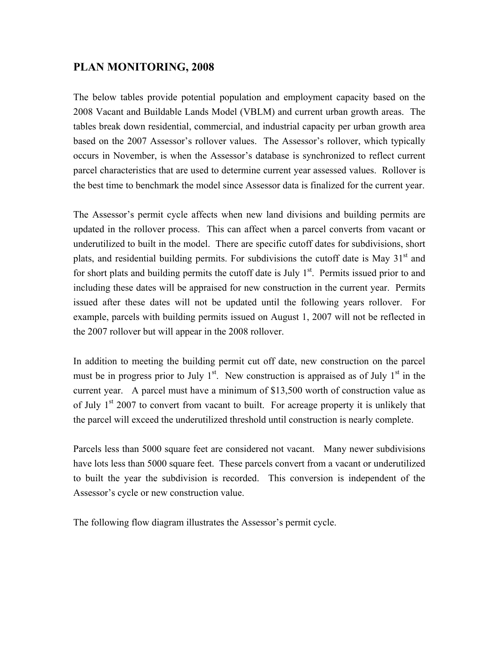## **PLAN MONITORING, 2008**

The below tables provide potential population and employment capacity based on the 2008 Vacant and Buildable Lands Model (VBLM) and current urban growth areas. The tables break down residential, commercial, and industrial capacity per urban growth area based on the 2007 Assessor's rollover values. The Assessor's rollover, which typically occurs in November, is when the Assessor's database is synchronized to reflect current parcel characteristics that are used to determine current year assessed values. Rollover is the best time to benchmark the model since Assessor data is finalized for the current year.

The Assessor's permit cycle affects when new land divisions and building permits are updated in the rollover process. This can affect when a parcel converts from vacant or underutilized to built in the model. There are specific cutoff dates for subdivisions, short plats, and residential building permits. For subdivisions the cutoff date is May  $31<sup>st</sup>$  and for short plats and building permits the cutoff date is July  $1<sup>st</sup>$ . Permits issued prior to and including these dates will be appraised for new construction in the current year. Permits issued after these dates will not be updated until the following years rollover. For example, parcels with building permits issued on August 1, 2007 will not be reflected in the 2007 rollover but will appear in the 2008 rollover.

In addition to meeting the building permit cut off date, new construction on the parcel must be in progress prior to July  $1<sup>st</sup>$ . New construction is appraised as of July  $1<sup>st</sup>$  in the current year. A parcel must have a minimum of \$13,500 worth of construction value as of July  $1<sup>st</sup> 2007$  to convert from vacant to built. For acreage property it is unlikely that the parcel will exceed the underutilized threshold until construction is nearly complete.

Parcels less than 5000 square feet are considered not vacant. Many newer subdivisions have lots less than 5000 square feet. These parcels convert from a vacant or underutilized to built the year the subdivision is recorded. This conversion is independent of the Assessor's cycle or new construction value.

The following flow diagram illustrates the Assessor's permit cycle.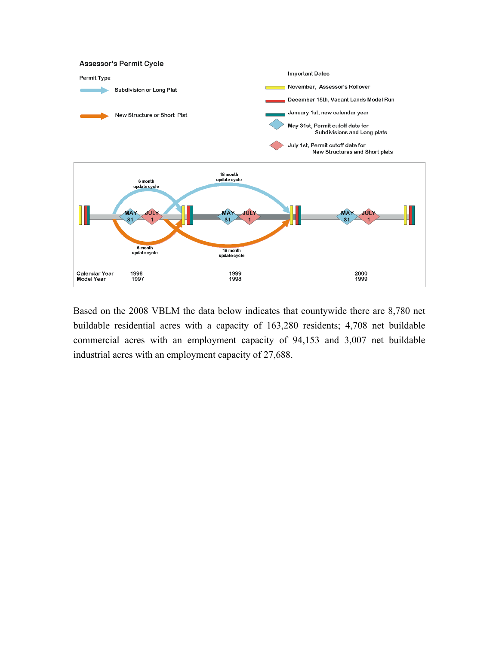

Based on the 2008 VBLM the data below indicates that countywide there are 8,780 net buildable residential acres with a capacity of 163,280 residents; 4,708 net buildable commercial acres with an employment capacity of 94,153 and 3,007 net buildable industrial acres with an employment capacity of 27,688.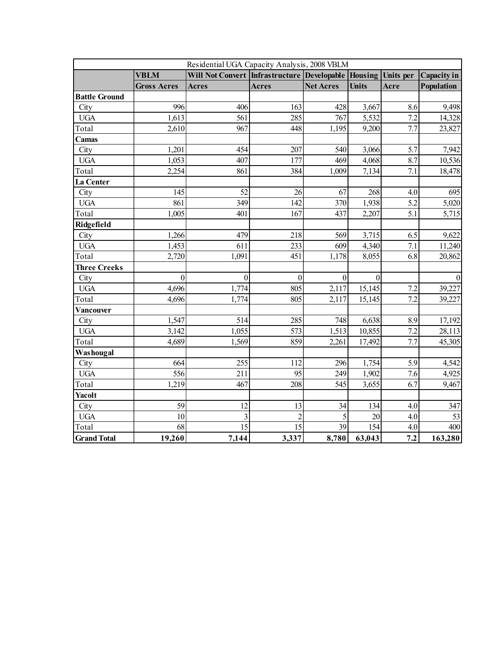|                      | Residential UGA Capacity Analysis, 2008 VBLM |                                                               |                |                  |              |      |                    |  |  |
|----------------------|----------------------------------------------|---------------------------------------------------------------|----------------|------------------|--------------|------|--------------------|--|--|
|                      | <b>VBLM</b>                                  | Will Not Convert Infrastructure Developable Housing Units per |                |                  |              |      | <b>Capacity</b> in |  |  |
|                      | <b>Gross Acres</b>                           | <b>Acres</b>                                                  | <b>Acres</b>   | <b>Net Acres</b> | <b>Units</b> | Acre | Population         |  |  |
| <b>Battle Ground</b> |                                              |                                                               |                |                  |              |      |                    |  |  |
| City                 | 996                                          | 406                                                           | 163            | 428              | 3,667        | 8.6  | 9,498              |  |  |
| <b>UGA</b>           | 1,613                                        | 561                                                           | 285            | 767              | 5,532        | 7.2  | 14,328             |  |  |
| Total                | 2,610                                        | 967                                                           | 448            | 1,195            | 9,200        | 7.7  | 23,827             |  |  |
| Camas                |                                              |                                                               |                |                  |              |      |                    |  |  |
| City                 | 1,201                                        | 454                                                           | 207            | 540              | 3,066        | 5.7  | 7,942              |  |  |
| <b>UGA</b>           | 1,053                                        | 407                                                           | 177            | 469              | 4,068        | 8.7  | 10,536             |  |  |
| Total                | 2,254                                        | 861                                                           | 384            | 1,009            | 7,134        | 7.1  | 18,478             |  |  |
| La Center            |                                              |                                                               |                |                  |              |      |                    |  |  |
| City                 | 145                                          | 52                                                            | 26             | 67               | 268          | 4.0  | 695                |  |  |
| <b>UGA</b>           | 861                                          | 349                                                           | 142            | 370              | 1,938        | 5.2  | 5,020              |  |  |
| Total                | 1,005                                        | 401                                                           | 167            | 437              | 2,207        | 5.1  | 5,715              |  |  |
| Ridgefield           |                                              |                                                               |                |                  |              |      |                    |  |  |
| City                 | 1,266                                        | 479                                                           | 218            | 569              | 3,715        | 6.5  | 9,622              |  |  |
| <b>UGA</b>           | 1,453                                        | 611                                                           | 233            | 609              | 4,340        | 7.1  | 11,240             |  |  |
| Total                | 2,720                                        | 1,091                                                         | 451            | 1,178            | 8,055        | 6.8  | 20,862             |  |  |
| <b>Three Creeks</b>  |                                              |                                                               |                |                  |              |      |                    |  |  |
| City                 | $\mathbf{0}$                                 | $\overline{0}$                                                | $\overline{0}$ | $\mathbf{0}$     | $\theta$     |      | $\Omega$           |  |  |
| <b>UGA</b>           | 4,696                                        | 1,774                                                         | 805            | 2,117            | 15,145       | 7.2  | 39,227             |  |  |
| Total                | 4,696                                        | 1,774                                                         | 805            | 2,117            | 15,145       | 7.2  | 39,227             |  |  |
| Vancouver            |                                              |                                                               |                |                  |              |      |                    |  |  |
| City                 | 1,547                                        | 514                                                           | 285            | 748              | 6,638        | 8.9  | 17,192             |  |  |
| $_{\rm UGA}$         | 3,142                                        | 1,055                                                         | 573            | 1,513            | 10,855       | 7.2  | 28,113             |  |  |
| Total                | 4,689                                        | 1,569                                                         | 859            | 2,261            | 17,492       | 7.7  | 45,305             |  |  |
| Washougal            |                                              |                                                               |                |                  |              |      |                    |  |  |
| City                 | 664                                          | 255                                                           | 112            | 296              | 1,754        | 5.9  | 4,542              |  |  |
| <b>UGA</b>           | 556                                          | 211                                                           | 95             | 249              | 1,902        | 7.6  | 4,925              |  |  |
| Total                | 1,219                                        | 467                                                           | 208            | 545              | 3,655        | 6.7  | 9,467              |  |  |
| Yacolt               |                                              |                                                               |                |                  |              |      |                    |  |  |
| City                 | 59                                           | 12                                                            | 13             | 34               | 134          | 4.0  | 347                |  |  |
| <b>UGA</b>           | 10                                           | $\overline{\mathbf{3}}$                                       | $\overline{2}$ |                  | 20           | 4.0  | 53                 |  |  |
| Total                | 68                                           | 15                                                            | 15             | 39               | 154          | 4.0  | 400                |  |  |
| <b>Grand Total</b>   | 19,260                                       | 7,144                                                         | 3,337          | 8,780            | 63,043       | 7.2  | 163,280            |  |  |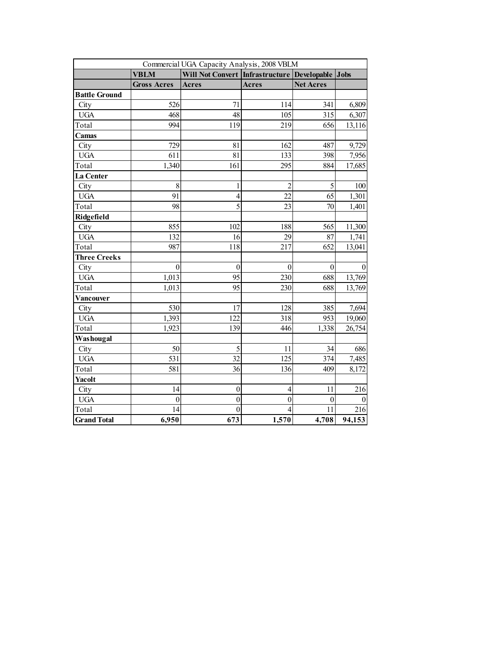| Commercial UGA Capacity Analysis, 2008 VBLM |                    |                                                        |                |                  |          |  |  |  |
|---------------------------------------------|--------------------|--------------------------------------------------------|----------------|------------------|----------|--|--|--|
|                                             | <b>VBLM</b>        | Will Not Convert   Infrastructure   Developable   Jobs |                |                  |          |  |  |  |
|                                             | <b>Gross Acres</b> | <b>Acres</b>                                           | Acres          | <b>Net Acres</b> |          |  |  |  |
| <b>Battle Ground</b>                        |                    |                                                        |                |                  |          |  |  |  |
| City                                        | 526                | 71                                                     | 114            | 341              | 6,809    |  |  |  |
| <b>UGA</b>                                  | 468                | 48                                                     | 105            | 315              | 6,307    |  |  |  |
| Total                                       | 994                | 119                                                    | 219            | 656              | 13,116   |  |  |  |
| Camas                                       |                    |                                                        |                |                  |          |  |  |  |
| City                                        | 729                | 81                                                     | 162            | 487              | 9,729    |  |  |  |
| <b>UGA</b>                                  | 611                | 81                                                     | 133            | 398              | 7,956    |  |  |  |
| Total                                       | 1,340              | 161                                                    | 295            | 884              | 17,685   |  |  |  |
| La Center                                   |                    |                                                        |                |                  |          |  |  |  |
| City                                        | $\,8\,$            | 1                                                      | $\overline{c}$ | 5                | 100      |  |  |  |
| <b>UGA</b>                                  | 91                 | $\overline{4}$                                         | 22             | 65               | 1,301    |  |  |  |
| Total                                       | 98                 | 5                                                      | 23             | 70               | 1,401    |  |  |  |
| Ridgefield                                  |                    |                                                        |                |                  |          |  |  |  |
| City                                        | 855                | 102                                                    | 188            | 565              | 11,300   |  |  |  |
| <b>UGA</b>                                  | 132                | 16                                                     | 29             | 87               | 1,741    |  |  |  |
| Total                                       | 987                | 118                                                    | 217            | 652              | 13,041   |  |  |  |
| <b>Three Creeks</b>                         |                    |                                                        |                |                  |          |  |  |  |
| City                                        | $\theta$           | $\theta$                                               | $\theta$       | $\theta$         | $\theta$ |  |  |  |
| <b>UGA</b>                                  | 1,013              | 95                                                     | 230            | 688              | 13,769   |  |  |  |
| Total                                       | 1,013              | 95                                                     | 230            | 688              | 13,769   |  |  |  |
| Vancouver                                   |                    |                                                        |                |                  |          |  |  |  |
| City                                        | 530                | 17                                                     | 128            | 385              | 7,694    |  |  |  |
| <b>UGA</b>                                  | 1,393              | 122                                                    | 318            | 953              | 19,060   |  |  |  |
| Total                                       | 1,923              | 139                                                    | 446            | 1,338            | 26,754   |  |  |  |
| Washougal                                   |                    |                                                        |                |                  |          |  |  |  |
| City                                        | 50                 | 5                                                      | 11             | 34               | 686      |  |  |  |
| <b>UGA</b>                                  | 531                | 32                                                     | 125            | 374              | 7,485    |  |  |  |
| Total                                       | 581                | 36                                                     | 136            | 409              | 8,172    |  |  |  |
| Yacolt                                      |                    |                                                        |                |                  |          |  |  |  |
| City                                        | 14                 | $\boldsymbol{0}$                                       | $\overline{4}$ | 11               | 216      |  |  |  |
| <b>UGA</b>                                  | $\boldsymbol{0}$   | $\mathbf{0}$                                           | $\overline{0}$ | $\theta$         | $\Omega$ |  |  |  |
| Total                                       | 14                 | $\theta$                                               |                | 11               | 216      |  |  |  |
| <b>Grand Total</b>                          | 6,950              | 673                                                    | 1,570          | 4,708            | 94,153   |  |  |  |